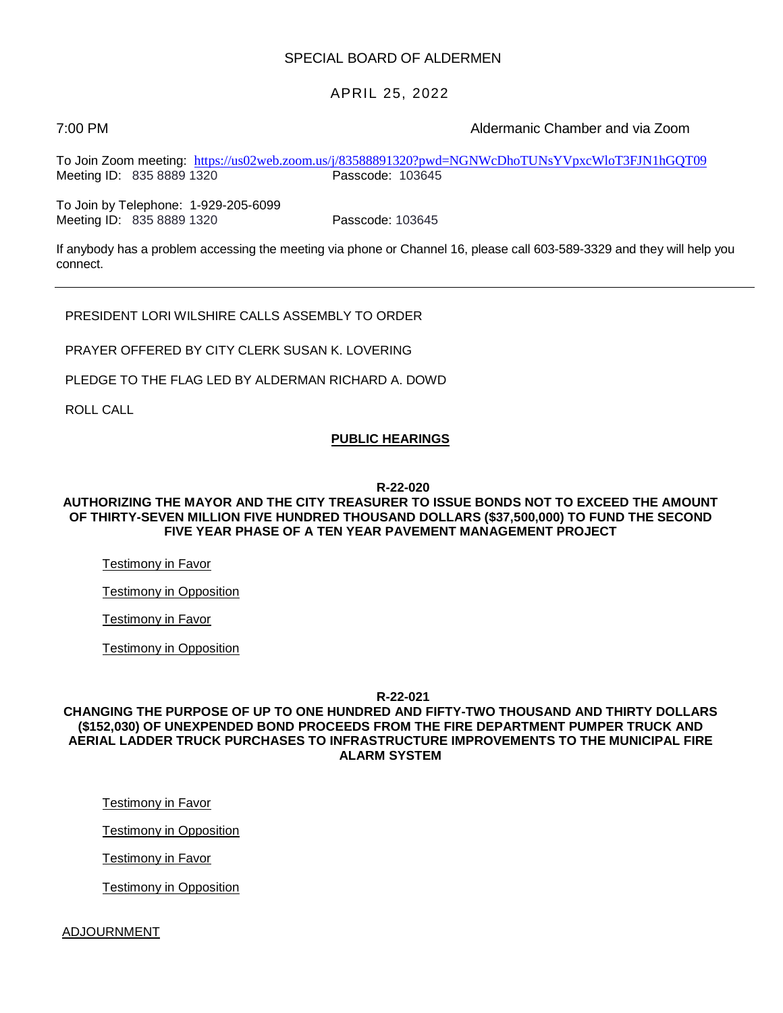### SPECIAL BOARD OF ALDERMEN

## APRIL 25, 2022

7:00 PM Aldermanic Chamber and via Zoom

To Join Zoom meeting: <https://us02web.zoom.us/j/83588891320?pwd=NGNWcDhoTUNsYVpxcWloT3FJN1hGQT09><br>Meeting ID: 835 8889 1320 Passcode: 103645 Meeting ID: 835 8889 1320

To Join by Telephone: 1-929-205-6099 Meeting ID: 835 8889 1320 Passcode: 103645

If anybody has a problem accessing the meeting via phone or Channel 16, please call 603-589-3329 and they will help you connect.

PRESIDENT LORI WILSHIRE CALLS ASSEMBLY TO ORDER

PRAYER OFFERED BY CITY CLERK SUSAN K. LOVERING

PLEDGE TO THE FLAG LED BY ALDERMAN RICHARD A. DOWD

ROLL CALL

### **PUBLIC HEARINGS**

**R-22-020**

### **AUTHORIZING THE MAYOR AND THE CITY TREASURER TO ISSUE BONDS NOT TO EXCEED THE AMOUNT OF THIRTY-SEVEN MILLION FIVE HUNDRED THOUSAND DOLLARS (\$37,500,000) TO FUND THE SECOND FIVE YEAR PHASE OF A TEN YEAR PAVEMENT MANAGEMENT PROJECT**

Testimony in Favor

Testimony in Opposition

Testimony in Favor

Testimony in Opposition

**R-22-021**

### **CHANGING THE PURPOSE OF UP TO ONE HUNDRED AND FIFTY-TWO THOUSAND AND THIRTY DOLLARS (\$152,030) OF UNEXPENDED BOND PROCEEDS FROM THE FIRE DEPARTMENT PUMPER TRUCK AND AERIAL LADDER TRUCK PURCHASES TO INFRASTRUCTURE IMPROVEMENTS TO THE MUNICIPAL FIRE ALARM SYSTEM**

Testimony in Favor

Testimony in Opposition

Testimony in Favor

Testimony in Opposition

#### ADJOURNMENT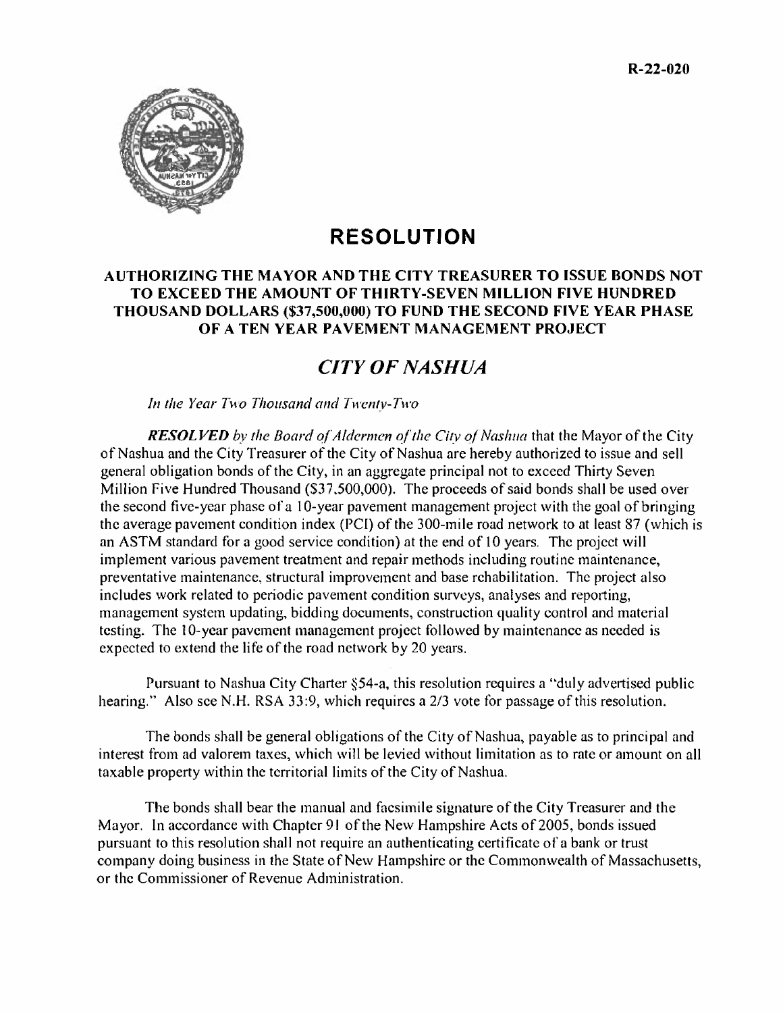

# **RESOLUTION**

## **AUTHORIZING THE MAYOR AND THE CITY TREASURER TO ISSUE BONDS NOT TO EXCEED THE AMOUNT OF THIRTY-SEVEN MILLION FIVE HUNDRED THOUSAND DOLLARS (\$37,500,000) TO FUND THE SECOND FIVE YEAR PHASE OF A TEN YEAR PAVEMENT MANAGEMENT PROJECT**

# *CITY OF NASHUA*

*In the Year Two Thousand and Twenty-Two* 

*RESOLVED by the Board of Aldermen of the City of Nashua* that the Mayor of the City of Nashua and the City Treasurer of the City of Nashua are hereby authorized to issue and sell general obligation bonds of the City, in an aggregate principal not to exceed Thirty Seven Million Five Hundred Thousand (\$37,500,000). The proceeds of said bonds shall be used over the second five-year phase of a 10-year pavement management project with the goal of bringing the average pavement condition index (PCI) of the 300-mile road network to at least 87 (which is an ASTM standard for a good service condition) at the end of 10 years. The project will implement various pavement treatment and repair methods including routine maintenance, preventative maintenance, structural improvement and base rehabilitation. The project also includes work related to periodic pavement condition surveys, analyses and reporting, management system updating, bidding documents, construction quality control and material testing. The 10-year pavement management project followed by maintenance as needed is expected to extend the life of the road network by 20 years.

Pursuant to Nashua City Charter §54-a, this resolution requires a "duly advertised public hearing." Also see N.H. RSA 33:9, which requires a 2/3 vote for passage of this resolution.

The bonds shall be general obligations of the City of Nashua, payable as to principal and interest from ad valorem taxes, which will be levied without limitation as to rate or amount on all taxable property within the territorial limits of the City of Nashua.

The bonds shall bear the manual and facsimile signature of the City Treasurer and the Mayor. In accordance with Chapter 91 of the New Hampshire Acts of 2005, bonds issued pursuant to this resolution shall not require an authenticating certifícate of a bank or trust company doing business in the State of New Hampshire or the Commonwealth of Massachusetts, or the Commissioner of Revenue Administration.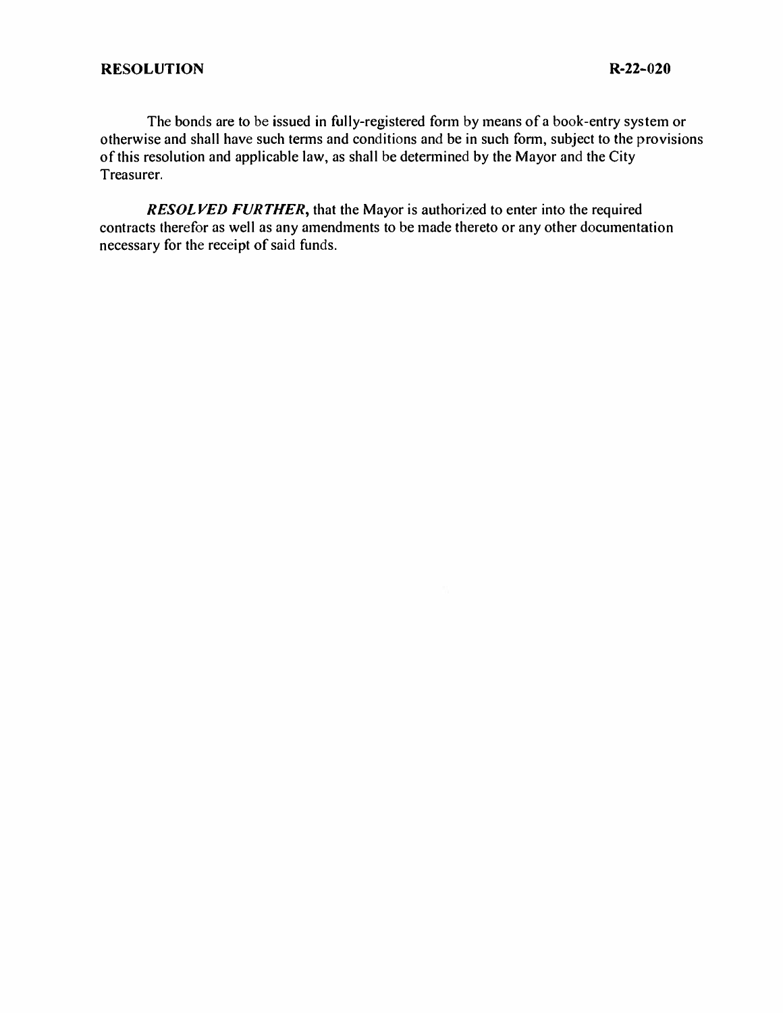The bonds are to be issued in fully-registered form by means of a book-entry system or otherwise and shall have such terms and conditions and be in such form, subject to the provisions of this resolution and applicable law, as shall be determined by the Mayor and the City Treasurer.

*RESOLVED FURTHER*, that the Mayor is authorized to enter into the required contracts therefor as well as any amendments to be made thereto or any other documentation necessary for the receipt of said funds.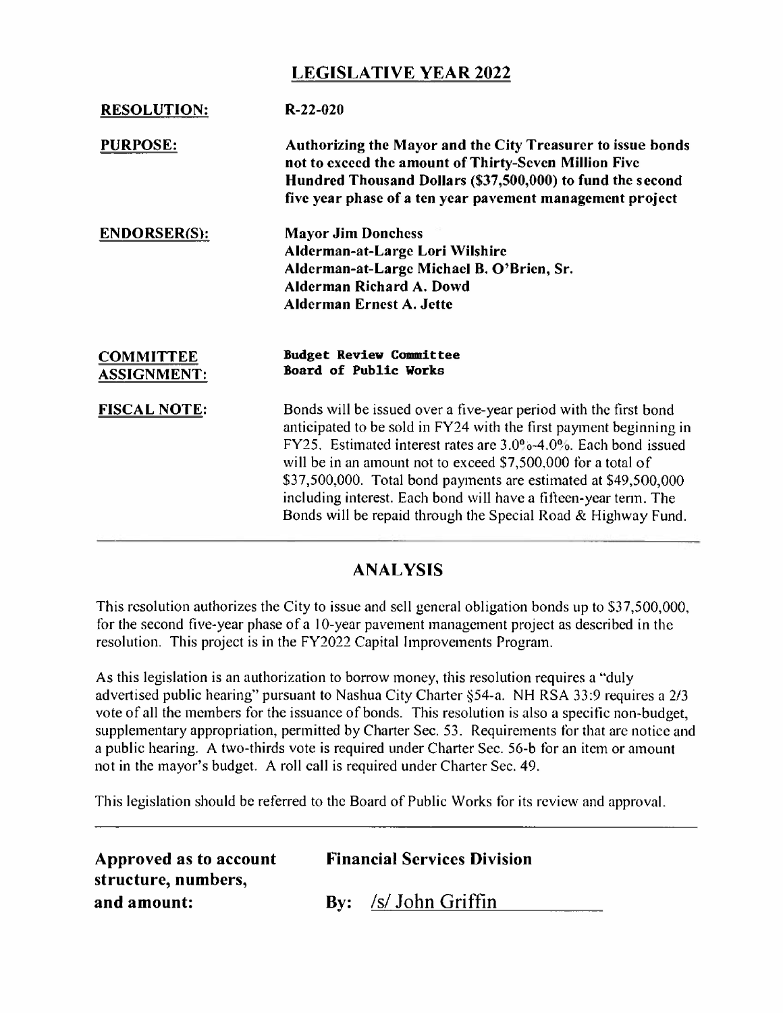# **LEGISLATIVE YEAR 2022**

| <b>RESOLUTION:</b>                     | $R - 22 - 020$                                                                                                                                                                                                                                                                                                                                                                                                                                                                    |
|----------------------------------------|-----------------------------------------------------------------------------------------------------------------------------------------------------------------------------------------------------------------------------------------------------------------------------------------------------------------------------------------------------------------------------------------------------------------------------------------------------------------------------------|
| <b>PURPOSE:</b>                        | Authorizing the Mayor and the City Treasurer to issue bonds<br>not to exceed the amount of Thirty-Seven Million Five<br>Hundred Thousand Dollars (\$37,500,000) to fund the second<br>five year phase of a ten year pavement management project                                                                                                                                                                                                                                   |
| <b>ENDORSER(S):</b>                    | <b>Mayor Jim Donchess</b><br>Alderman-at-Large Lori Wilshire<br>Alderman-at-Large Michael B. O'Brien, Sr.<br>Alderman Richard A. Dowd<br>Alderman Ernest A. Jette                                                                                                                                                                                                                                                                                                                 |
| <b>COMMITTEE</b><br><b>ASSIGNMENT:</b> | <b>Budget Review Committee</b><br>Board of Public Works                                                                                                                                                                                                                                                                                                                                                                                                                           |
| <b>FISCAL NOTE:</b>                    | Bonds will be issued over a five-year period with the first bond<br>anticipated to be sold in FY24 with the first payment beginning in<br>FY25. Estimated interest rates are 3.0%-4.0%. Each bond issued<br>will be in an amount not to exceed \$7,500,000 for a total of<br>\$37,500,000. Total bond payments are estimated at \$49,500,000<br>including interest. Each bond will have a fifteen-year term. The<br>Bonds will be repaid through the Special Road & Highway Fund. |

## **ANALYSIS**

This resolution authorizes the City to issue and sell general obligation bonds up to S37,500,000, for the second five-year phase of a 10-year pavement management project as described in the resolution. This project is in the FY2022 Capital Improvements Program.

As this legislation is an authorization to borrow money, this resolution requires a "duly advertised public hearing" pursuant to Nashua City Charter §54-a. NH RSA 33:9 requires a 2/3 vote of all the members for the issuance of bonds. This resolution is also a specific non-budget, supplementary appropriation, permitted by Charter Sec. 53. Requirements for that are notice and a public hearing. A two-thirds vote is required under Charter Sec. 56-b for an item or amount not in the mayor's budget. A roll call is required under Charter Sec. 49.

This legislation should be referred to the Board of Public Works for its review and approval.

| Approved as to account<br>structure, numbers, | <b>Financial Services Division</b> |                        |
|-----------------------------------------------|------------------------------------|------------------------|
| and amount:                                   |                                    | $By:$ /s/ John Griffin |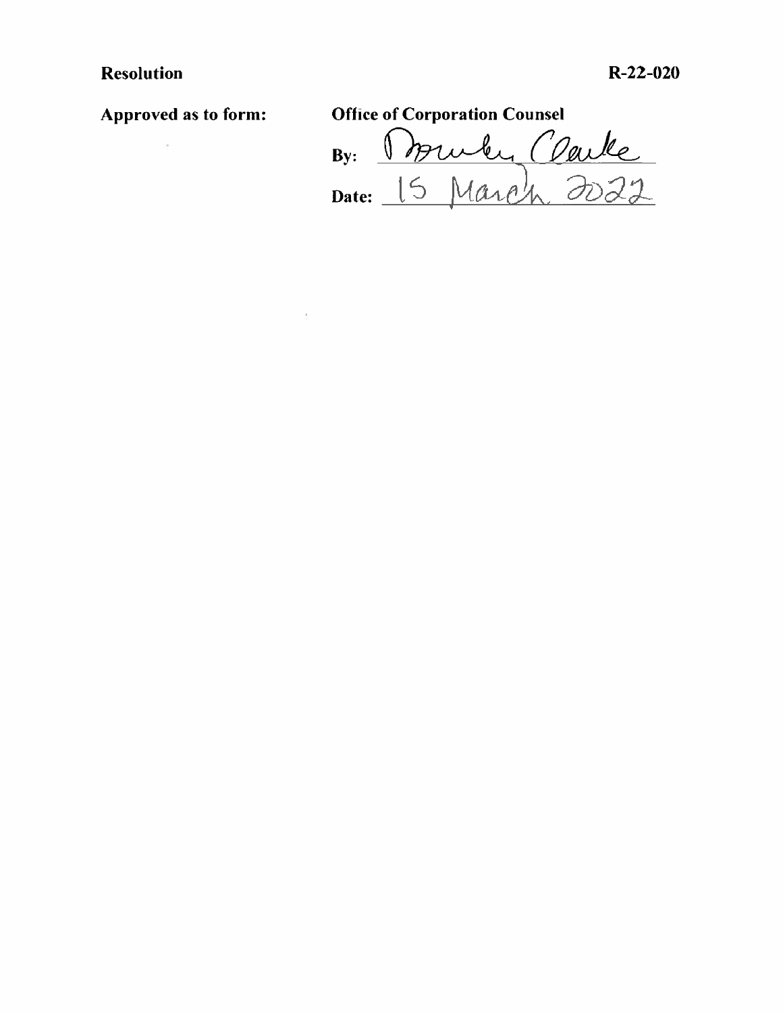# **Resolution R-22-020**

 $\bar{\nu}$ 

**Approved as to form: Office of Corporation Counsel**  By: *Vhru^-A^COeuJUL.*  **Date:**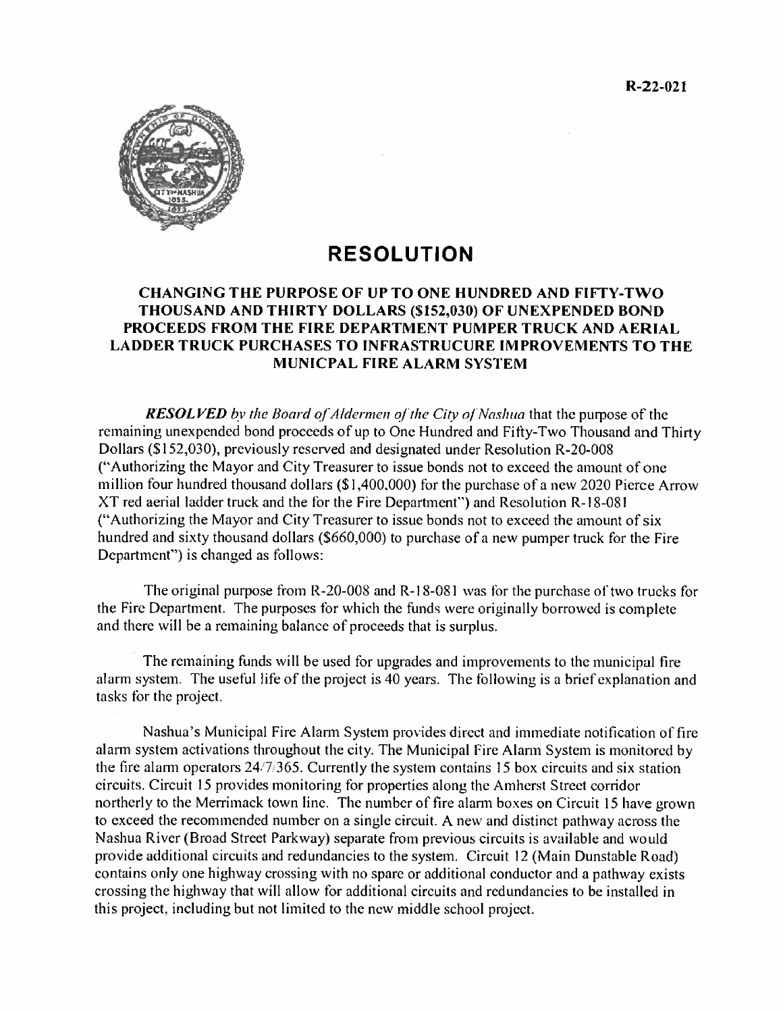

# **RESOLUTION**

## **CHANGING THE PURPOSE OF UP TO ONE HUNDRED AND FIFTY-TWO THOUSAND AND THIRTY DOLLARS (\$152,030) OF UNEXPENDED BOND PROCEEDS FROM THE FIRE DEPARTMENT PUMPER TRUCK AND AERIAL LADDER TRUCK PURCHASES TO INFRASTRUCURE IMPROVEMENTS TO THE MUNICPAL FIRE ALARM SYSTEM**

*RESOLVED by the Board of Aldermen of the City of Nashua* that the purpose of the remaining unexpended bond proceeds of up to One Hundred and Fifty-Two Thousand and Thirty Dollars (\$ 152,030), previously reserved and designated under Resolution R-20-008 ("Authorizing the Mayor and City Treasurer to issue bonds not to exceed the amount of one million four hundred thousand dollars (\$1,400,000) for the purchase of a new 2020 Pierce Arrow XT red aerial ladder truck and the for the Fire Department") and Resolution R-18-081 ("Authorizing the Mayor and City Treasurer to issue bonds not to exceed the amount of six hundred and sixty thousand dollars (\$660,000) to purchase of a new pumper truck for the Fire Department") is changed as follows:

The original purpose from R-20-008 and R-18-081 was for the purchase of two trucks for the Fire Department. The purposes for which the funds were originally borrowed is complete and there will be a remaining balance of proceeds that is surplus.

The remaining funds will be used for upgrades and improvements to the municipal fire alarm system. The useful life of the project is 40 years. The following is a brief explanation and tasks for the project.

Nashua's Municipal Fire Alarm System provides direct and immediate notification of fire alarm system activations throughout the city. The Municipal Fire Alarm System is monitored by the fire alarm operators  $24\frac{1}{1365}$ . Currently the system contains 15 box circuits and six station circuits. Circuit 15 provides monitoring for properties along the Amherst Street corridor northerly to the Merrimack town line. The number of fire alarm boxes on Circuit 15 have grown to exceed the recommended number on a single circuit. A new and distinct pathway across the Nashua River (Broad Street Parkway) separate from previous circuits is available and would provide additional circuits and redundancies to the system. Circuit 12 (Main Dunstable Road) contains only one highway crossing with no spare or additional conductor and a pathway exists crossing the highway that will allow for additional circuits and redundancies to be installed in this project, including but not limited to the new middle school project.